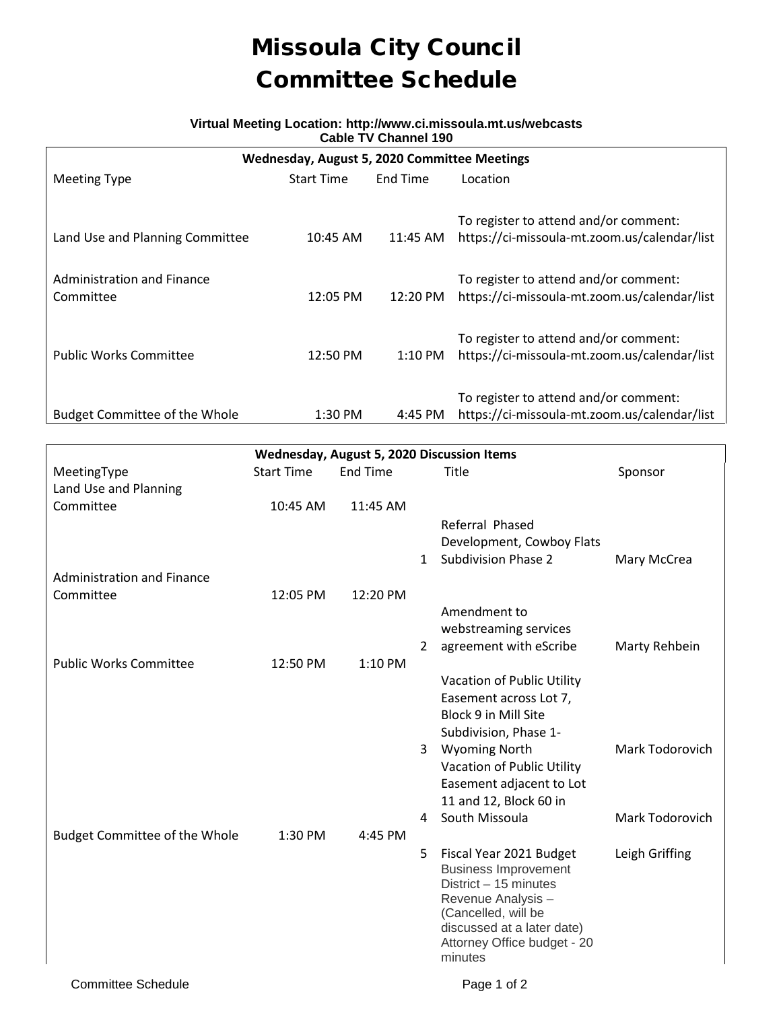## Missoula City Council Committee Schedule

## **Virtual Meeting Location: http://www.ci.missoula.mt.us/webcasts Cable TV Channel 190**

| Wednesday, August 5, 2020 Committee Meetings |                   |                   |                                              |  |  |  |  |  |
|----------------------------------------------|-------------------|-------------------|----------------------------------------------|--|--|--|--|--|
| <b>Meeting Type</b>                          | <b>Start Time</b> | End Time          | Location                                     |  |  |  |  |  |
|                                              |                   |                   |                                              |  |  |  |  |  |
|                                              |                   |                   | To register to attend and/or comment:        |  |  |  |  |  |
| Land Use and Planning Committee              | 10:45 AM          | 11:45 AM          | https://ci-missoula-mt.zoom.us/calendar/list |  |  |  |  |  |
|                                              |                   |                   |                                              |  |  |  |  |  |
| Administration and Finance                   |                   |                   | To register to attend and/or comment:        |  |  |  |  |  |
| Committee                                    | 12:05 PM          | 12:20 PM          | https://ci-missoula-mt.zoom.us/calendar/list |  |  |  |  |  |
|                                              |                   |                   |                                              |  |  |  |  |  |
|                                              |                   |                   | To register to attend and/or comment:        |  |  |  |  |  |
| <b>Public Works Committee</b>                | 12:50 PM          | $1:10 \text{ PM}$ | https://ci-missoula-mt.zoom.us/calendar/list |  |  |  |  |  |
|                                              |                   |                   |                                              |  |  |  |  |  |
|                                              |                   |                   | To register to attend and/or comment:        |  |  |  |  |  |
| <b>Budget Committee of the Whole</b>         | 1:30 PM           | 4:45 PM           | https://ci-missoula-mt.zoom.us/calendar/list |  |  |  |  |  |

| Wednesday, August 5, 2020 Discussion Items |                   |                 |                |                                           |                 |  |  |  |
|--------------------------------------------|-------------------|-----------------|----------------|-------------------------------------------|-----------------|--|--|--|
| MeetingType                                | <b>Start Time</b> | <b>End Time</b> |                | Title                                     | Sponsor         |  |  |  |
| Land Use and Planning                      |                   |                 |                |                                           |                 |  |  |  |
| Committee                                  | 10:45 AM          | 11:45 AM        |                |                                           |                 |  |  |  |
|                                            |                   |                 |                | Referral Phased                           |                 |  |  |  |
|                                            |                   |                 |                | Development, Cowboy Flats                 |                 |  |  |  |
|                                            |                   |                 | $\mathbf{1}$   | <b>Subdivision Phase 2</b>                | Mary McCrea     |  |  |  |
| <b>Administration and Finance</b>          |                   |                 |                |                                           |                 |  |  |  |
| Committee                                  | 12:05 PM          | 12:20 PM        |                |                                           |                 |  |  |  |
|                                            |                   |                 |                | Amendment to                              |                 |  |  |  |
|                                            |                   |                 |                | webstreaming services                     |                 |  |  |  |
|                                            |                   |                 | $\overline{2}$ | agreement with eScribe                    | Marty Rehbein   |  |  |  |
| <b>Public Works Committee</b>              | 12:50 PM          | 1:10 PM         |                |                                           |                 |  |  |  |
|                                            |                   |                 |                | Vacation of Public Utility                |                 |  |  |  |
|                                            |                   |                 |                | Easement across Lot 7,                    |                 |  |  |  |
|                                            |                   |                 |                | Block 9 in Mill Site                      |                 |  |  |  |
|                                            |                   |                 |                | Subdivision, Phase 1-                     |                 |  |  |  |
|                                            |                   |                 | $\mathbf{3}$   | <b>Wyoming North</b>                      | Mark Todorovich |  |  |  |
|                                            |                   |                 |                | Vacation of Public Utility                |                 |  |  |  |
|                                            |                   |                 |                | Easement adjacent to Lot                  |                 |  |  |  |
|                                            |                   |                 |                | 11 and 12, Block 60 in                    |                 |  |  |  |
|                                            |                   |                 | 4              | South Missoula                            | Mark Todorovich |  |  |  |
| <b>Budget Committee of the Whole</b>       | 1:30 PM           | 4:45 PM         |                |                                           |                 |  |  |  |
|                                            |                   |                 | 5              | Fiscal Year 2021 Budget                   | Leigh Griffing  |  |  |  |
|                                            |                   |                 |                | <b>Business Improvement</b>               |                 |  |  |  |
|                                            |                   |                 |                | District - 15 minutes                     |                 |  |  |  |
|                                            |                   |                 |                | Revenue Analysis -<br>(Cancelled, will be |                 |  |  |  |
|                                            |                   |                 |                | discussed at a later date)                |                 |  |  |  |
|                                            |                   |                 |                | Attorney Office budget - 20               |                 |  |  |  |
|                                            |                   |                 |                | minutes                                   |                 |  |  |  |
|                                            |                   |                 |                |                                           |                 |  |  |  |